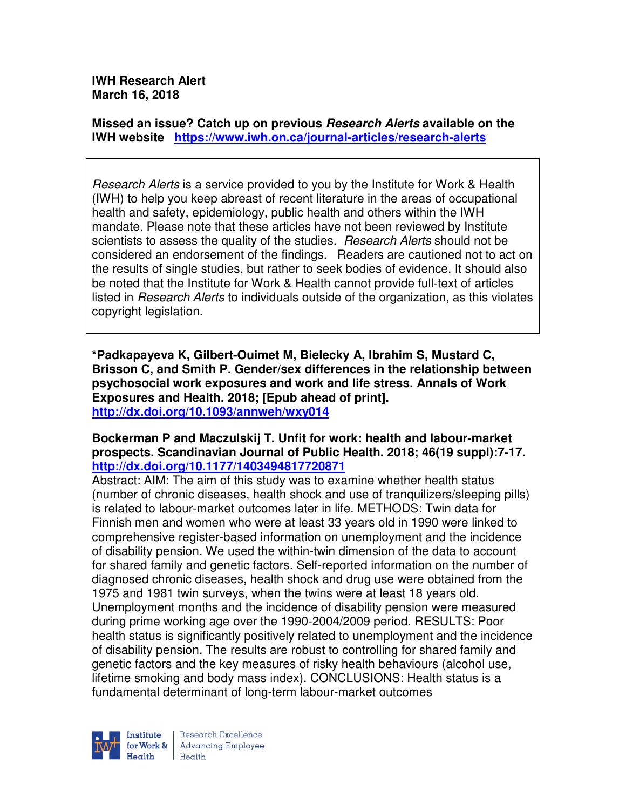**IWH Research Alert March 16, 2018** 

**Missed an issue? Catch up on previous Research Alerts available on the IWH website https://www.iwh.on.ca/journal-articles/research-alerts** 

Research Alerts is a service provided to you by the Institute for Work & Health (IWH) to help you keep abreast of recent literature in the areas of occupational health and safety, epidemiology, public health and others within the IWH mandate. Please note that these articles have not been reviewed by Institute scientists to assess the quality of the studies. Research Alerts should not be considered an endorsement of the findings. Readers are cautioned not to act on the results of single studies, but rather to seek bodies of evidence. It should also be noted that the Institute for Work & Health cannot provide full-text of articles listed in Research Alerts to individuals outside of the organization, as this violates copyright legislation.

**\*Padkapayeva K, Gilbert-Ouimet M, Bielecky A, Ibrahim S, Mustard C, Brisson C, and Smith P. Gender/sex differences in the relationship between psychosocial work exposures and work and life stress. Annals of Work Exposures and Health. 2018; [Epub ahead of print]. http://dx.doi.org/10.1093/annweh/wxy014** 

### **Bockerman P and Maczulskij T. Unfit for work: health and labour-market prospects. Scandinavian Journal of Public Health. 2018; 46(19 suppl):7-17. http://dx.doi.org/10.1177/1403494817720871**

Abstract: AIM: The aim of this study was to examine whether health status (number of chronic diseases, health shock and use of tranquilizers/sleeping pills) is related to labour-market outcomes later in life. METHODS: Twin data for Finnish men and women who were at least 33 years old in 1990 were linked to comprehensive register-based information on unemployment and the incidence of disability pension. We used the within-twin dimension of the data to account for shared family and genetic factors. Self-reported information on the number of diagnosed chronic diseases, health shock and drug use were obtained from the 1975 and 1981 twin surveys, when the twins were at least 18 years old. Unemployment months and the incidence of disability pension were measured during prime working age over the 1990-2004/2009 period. RESULTS: Poor health status is significantly positively related to unemployment and the incidence of disability pension. The results are robust to controlling for shared family and genetic factors and the key measures of risky health behaviours (alcohol use, lifetime smoking and body mass index). CONCLUSIONS: Health status is a fundamental determinant of long-term labour-market outcomes

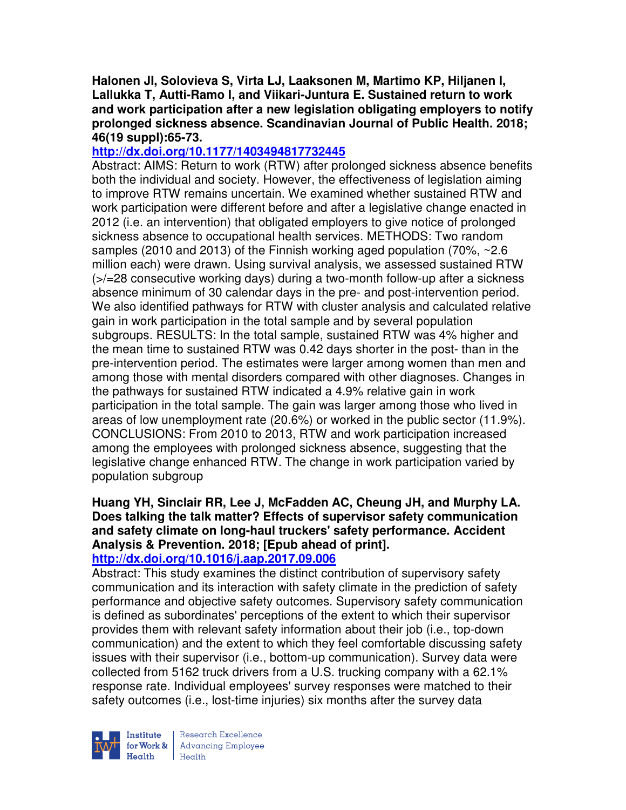**Halonen JI, Solovieva S, Virta LJ, Laaksonen M, Martimo KP, Hiljanen I, Lallukka T, Autti-Ramo I, and Viikari-Juntura E. Sustained return to work and work participation after a new legislation obligating employers to notify prolonged sickness absence. Scandinavian Journal of Public Health. 2018; 46(19 suppl):65-73.** 

## **http://dx.doi.org/10.1177/1403494817732445**

Abstract: AIMS: Return to work (RTW) after prolonged sickness absence benefits both the individual and society. However, the effectiveness of legislation aiming to improve RTW remains uncertain. We examined whether sustained RTW and work participation were different before and after a legislative change enacted in 2012 (i.e. an intervention) that obligated employers to give notice of prolonged sickness absence to occupational health services. METHODS: Two random samples (2010 and 2013) of the Finnish working aged population (70%, ~2.6 million each) were drawn. Using survival analysis, we assessed sustained RTW (>/=28 consecutive working days) during a two-month follow-up after a sickness absence minimum of 30 calendar days in the pre- and post-intervention period. We also identified pathways for RTW with cluster analysis and calculated relative gain in work participation in the total sample and by several population subgroups. RESULTS: In the total sample, sustained RTW was 4% higher and the mean time to sustained RTW was 0.42 days shorter in the post- than in the pre-intervention period. The estimates were larger among women than men and among those with mental disorders compared with other diagnoses. Changes in the pathways for sustained RTW indicated a 4.9% relative gain in work participation in the total sample. The gain was larger among those who lived in areas of low unemployment rate (20.6%) or worked in the public sector (11.9%). CONCLUSIONS: From 2010 to 2013, RTW and work participation increased among the employees with prolonged sickness absence, suggesting that the legislative change enhanced RTW. The change in work participation varied by population subgroup

#### **Huang YH, Sinclair RR, Lee J, McFadden AC, Cheung JH, and Murphy LA. Does talking the talk matter? Effects of supervisor safety communication and safety climate on long-haul truckers' safety performance. Accident Analysis & Prevention. 2018; [Epub ahead of print]. http://dx.doi.org/10.1016/j.aap.2017.09.006**

Abstract: This study examines the distinct contribution of supervisory safety communication and its interaction with safety climate in the prediction of safety performance and objective safety outcomes. Supervisory safety communication is defined as subordinates' perceptions of the extent to which their supervisor provides them with relevant safety information about their job (i.e., top-down communication) and the extent to which they feel comfortable discussing safety issues with their supervisor (i.e., bottom-up communication). Survey data were collected from 5162 truck drivers from a U.S. trucking company with a 62.1% response rate. Individual employees' survey responses were matched to their safety outcomes (i.e., lost-time injuries) six months after the survey data



Research Excellence for Work & | Advancing Employee Health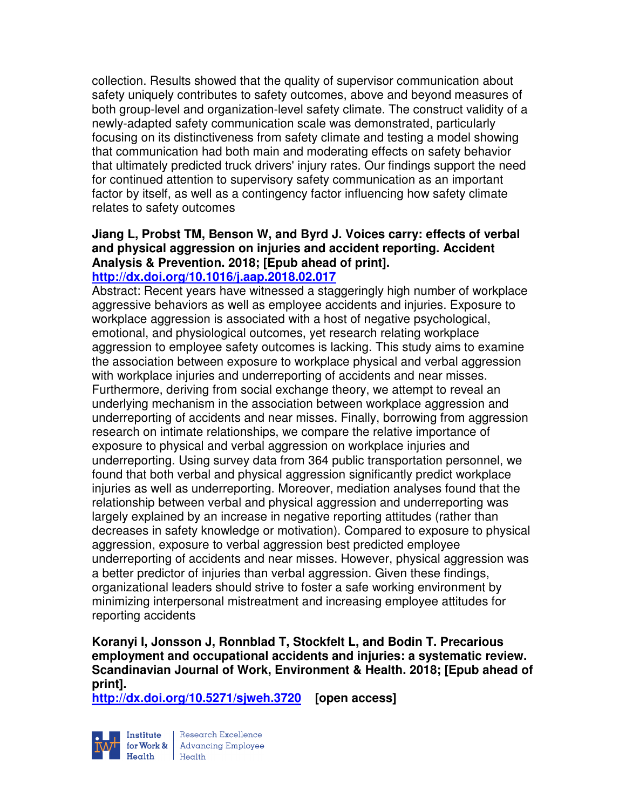collection. Results showed that the quality of supervisor communication about safety uniquely contributes to safety outcomes, above and beyond measures of both group-level and organization-level safety climate. The construct validity of a newly-adapted safety communication scale was demonstrated, particularly focusing on its distinctiveness from safety climate and testing a model showing that communication had both main and moderating effects on safety behavior that ultimately predicted truck drivers' injury rates. Our findings support the need for continued attention to supervisory safety communication as an important factor by itself, as well as a contingency factor influencing how safety climate relates to safety outcomes

# **Jiang L, Probst TM, Benson W, and Byrd J. Voices carry: effects of verbal and physical aggression on injuries and accident reporting. Accident Analysis & Prevention. 2018; [Epub ahead of print].**

# **http://dx.doi.org/10.1016/j.aap.2018.02.017**

Abstract: Recent years have witnessed a staggeringly high number of workplace aggressive behaviors as well as employee accidents and injuries. Exposure to workplace aggression is associated with a host of negative psychological, emotional, and physiological outcomes, yet research relating workplace aggression to employee safety outcomes is lacking. This study aims to examine the association between exposure to workplace physical and verbal aggression with workplace injuries and underreporting of accidents and near misses. Furthermore, deriving from social exchange theory, we attempt to reveal an underlying mechanism in the association between workplace aggression and underreporting of accidents and near misses. Finally, borrowing from aggression research on intimate relationships, we compare the relative importance of exposure to physical and verbal aggression on workplace injuries and underreporting. Using survey data from 364 public transportation personnel, we found that both verbal and physical aggression significantly predict workplace injuries as well as underreporting. Moreover, mediation analyses found that the relationship between verbal and physical aggression and underreporting was largely explained by an increase in negative reporting attitudes (rather than decreases in safety knowledge or motivation). Compared to exposure to physical aggression, exposure to verbal aggression best predicted employee underreporting of accidents and near misses. However, physical aggression was a better predictor of injuries than verbal aggression. Given these findings, organizational leaders should strive to foster a safe working environment by minimizing interpersonal mistreatment and increasing employee attitudes for reporting accidents

### **Koranyi I, Jonsson J, Ronnblad T, Stockfelt L, and Bodin T. Precarious employment and occupational accidents and injuries: a systematic review. Scandinavian Journal of Work, Environment & Health. 2018; [Epub ahead of print].**

**http://dx.doi.org/10.5271/sjweh.3720 [open access]**



Institute Research Excellence<br>
for Work & Advancing Employee<br>
Health Health  $Heath$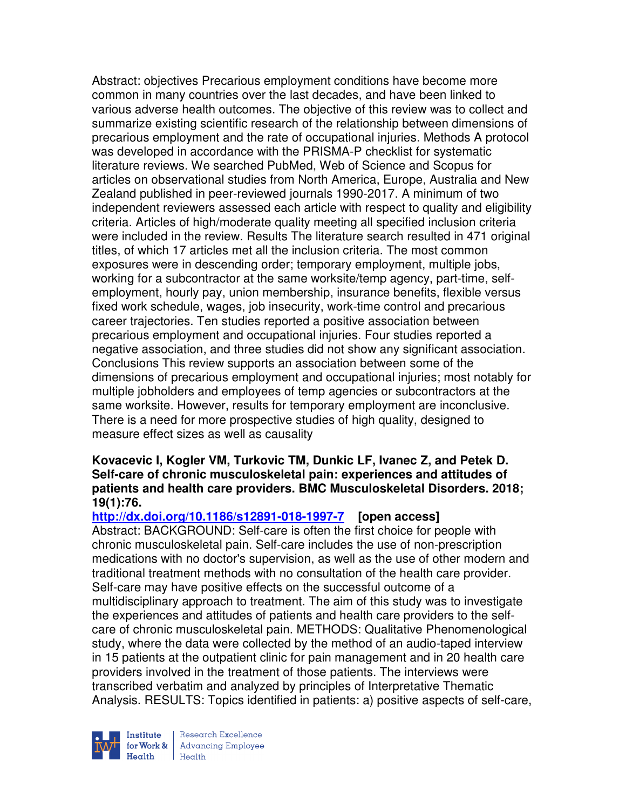Abstract: objectives Precarious employment conditions have become more common in many countries over the last decades, and have been linked to various adverse health outcomes. The objective of this review was to collect and summarize existing scientific research of the relationship between dimensions of precarious employment and the rate of occupational injuries. Methods A protocol was developed in accordance with the PRISMA-P checklist for systematic literature reviews. We searched PubMed, Web of Science and Scopus for articles on observational studies from North America, Europe, Australia and New Zealand published in peer-reviewed journals 1990-2017. A minimum of two independent reviewers assessed each article with respect to quality and eligibility criteria. Articles of high/moderate quality meeting all specified inclusion criteria were included in the review. Results The literature search resulted in 471 original titles, of which 17 articles met all the inclusion criteria. The most common exposures were in descending order; temporary employment, multiple jobs, working for a subcontractor at the same worksite/temp agency, part-time, selfemployment, hourly pay, union membership, insurance benefits, flexible versus fixed work schedule, wages, job insecurity, work-time control and precarious career trajectories. Ten studies reported a positive association between precarious employment and occupational injuries. Four studies reported a negative association, and three studies did not show any significant association. Conclusions This review supports an association between some of the dimensions of precarious employment and occupational injuries; most notably for multiple jobholders and employees of temp agencies or subcontractors at the same worksite. However, results for temporary employment are inconclusive. There is a need for more prospective studies of high quality, designed to measure effect sizes as well as causality

### **Kovacevic I, Kogler VM, Turkovic TM, Dunkic LF, Ivanec Z, and Petek D. Self-care of chronic musculoskeletal pain: experiences and attitudes of patients and health care providers. BMC Musculoskeletal Disorders. 2018; 19(1):76.**

# **http://dx.doi.org/10.1186/s12891-018-1997-7 [open access]**

Abstract: BACKGROUND: Self-care is often the first choice for people with chronic musculoskeletal pain. Self-care includes the use of non-prescription medications with no doctor's supervision, as well as the use of other modern and traditional treatment methods with no consultation of the health care provider. Self-care may have positive effects on the successful outcome of a multidisciplinary approach to treatment. The aim of this study was to investigate the experiences and attitudes of patients and health care providers to the selfcare of chronic musculoskeletal pain. METHODS: Qualitative Phenomenological study, where the data were collected by the method of an audio-taped interview in 15 patients at the outpatient clinic for pain management and in 20 health care providers involved in the treatment of those patients. The interviews were transcribed verbatim and analyzed by principles of Interpretative Thematic Analysis. RESULTS: Topics identified in patients: a) positive aspects of self-care,



Research Excellence for Work & | Advancing Employee  $H_{\text{eath}}$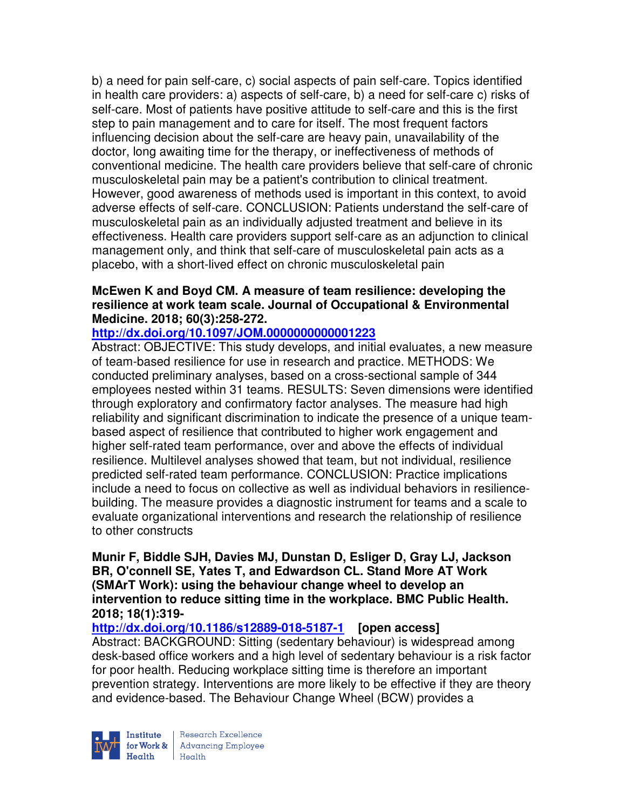b) a need for pain self-care, c) social aspects of pain self-care. Topics identified in health care providers: a) aspects of self-care, b) a need for self-care c) risks of self-care. Most of patients have positive attitude to self-care and this is the first step to pain management and to care for itself. The most frequent factors influencing decision about the self-care are heavy pain, unavailability of the doctor, long awaiting time for the therapy, or ineffectiveness of methods of conventional medicine. The health care providers believe that self-care of chronic musculoskeletal pain may be a patient's contribution to clinical treatment. However, good awareness of methods used is important in this context, to avoid adverse effects of self-care. CONCLUSION: Patients understand the self-care of musculoskeletal pain as an individually adjusted treatment and believe in its effectiveness. Health care providers support self-care as an adjunction to clinical management only, and think that self-care of musculoskeletal pain acts as a placebo, with a short-lived effect on chronic musculoskeletal pain

## **McEwen K and Boyd CM. A measure of team resilience: developing the resilience at work team scale. Journal of Occupational & Environmental Medicine. 2018; 60(3):258-272.**

## **http://dx.doi.org/10.1097/JOM.0000000000001223**

Abstract: OBJECTIVE: This study develops, and initial evaluates, a new measure of team-based resilience for use in research and practice. METHODS: We conducted preliminary analyses, based on a cross-sectional sample of 344 employees nested within 31 teams. RESULTS: Seven dimensions were identified through exploratory and confirmatory factor analyses. The measure had high reliability and significant discrimination to indicate the presence of a unique teambased aspect of resilience that contributed to higher work engagement and higher self-rated team performance, over and above the effects of individual resilience. Multilevel analyses showed that team, but not individual, resilience predicted self-rated team performance. CONCLUSION: Practice implications include a need to focus on collective as well as individual behaviors in resiliencebuilding. The measure provides a diagnostic instrument for teams and a scale to evaluate organizational interventions and research the relationship of resilience to other constructs

**Munir F, Biddle SJH, Davies MJ, Dunstan D, Esliger D, Gray LJ, Jackson BR, O'connell SE, Yates T, and Edwardson CL. Stand More AT Work (SMArT Work): using the behaviour change wheel to develop an intervention to reduce sitting time in the workplace. BMC Public Health. 2018; 18(1):319-** 

# **http://dx.doi.org/10.1186/s12889-018-5187-1 [open access]**

Abstract: BACKGROUND: Sitting (sedentary behaviour) is widespread among desk-based office workers and a high level of sedentary behaviour is a risk factor for poor health. Reducing workplace sitting time is therefore an important prevention strategy. Interventions are more likely to be effective if they are theory and evidence-based. The Behaviour Change Wheel (BCW) provides a



Research Excellence for Work & | Advancing Employee  $Heath$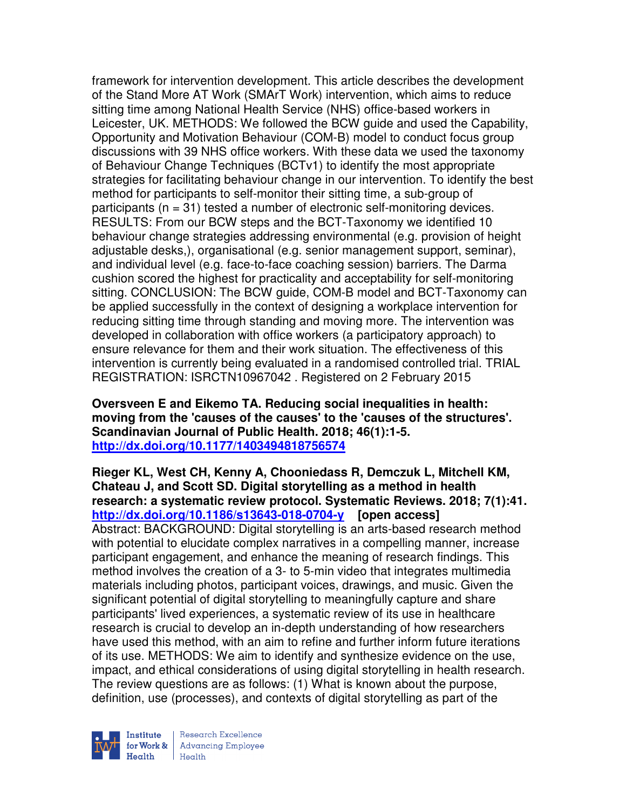framework for intervention development. This article describes the development of the Stand More AT Work (SMArT Work) intervention, which aims to reduce sitting time among National Health Service (NHS) office-based workers in Leicester, UK. METHODS: We followed the BCW guide and used the Capability, Opportunity and Motivation Behaviour (COM-B) model to conduct focus group discussions with 39 NHS office workers. With these data we used the taxonomy of Behaviour Change Techniques (BCTv1) to identify the most appropriate strategies for facilitating behaviour change in our intervention. To identify the best method for participants to self-monitor their sitting time, a sub-group of participants (n = 31) tested a number of electronic self-monitoring devices. RESULTS: From our BCW steps and the BCT-Taxonomy we identified 10 behaviour change strategies addressing environmental (e.g. provision of height adjustable desks,), organisational (e.g. senior management support, seminar), and individual level (e.g. face-to-face coaching session) barriers. The Darma cushion scored the highest for practicality and acceptability for self-monitoring sitting. CONCLUSION: The BCW guide, COM-B model and BCT-Taxonomy can be applied successfully in the context of designing a workplace intervention for reducing sitting time through standing and moving more. The intervention was developed in collaboration with office workers (a participatory approach) to ensure relevance for them and their work situation. The effectiveness of this intervention is currently being evaluated in a randomised controlled trial. TRIAL REGISTRATION: ISRCTN10967042 . Registered on 2 February 2015

**Oversveen E and Eikemo TA. Reducing social inequalities in health: moving from the 'causes of the causes' to the 'causes of the structures'. Scandinavian Journal of Public Health. 2018; 46(1):1-5. http://dx.doi.org/10.1177/1403494818756574** 

**Rieger KL, West CH, Kenny A, Chooniedass R, Demczuk L, Mitchell KM, Chateau J, and Scott SD. Digital storytelling as a method in health research: a systematic review protocol. Systematic Reviews. 2018; 7(1):41. http://dx.doi.org/10.1186/s13643-018-0704-y [open access]**

Abstract: BACKGROUND: Digital storytelling is an arts-based research method with potential to elucidate complex narratives in a compelling manner, increase participant engagement, and enhance the meaning of research findings. This method involves the creation of a 3- to 5-min video that integrates multimedia materials including photos, participant voices, drawings, and music. Given the significant potential of digital storytelling to meaningfully capture and share participants' lived experiences, a systematic review of its use in healthcare research is crucial to develop an in-depth understanding of how researchers have used this method, with an aim to refine and further inform future iterations of its use. METHODS: We aim to identify and synthesize evidence on the use, impact, and ethical considerations of using digital storytelling in health research. The review questions are as follows: (1) What is known about the purpose, definition, use (processes), and contexts of digital storytelling as part of the

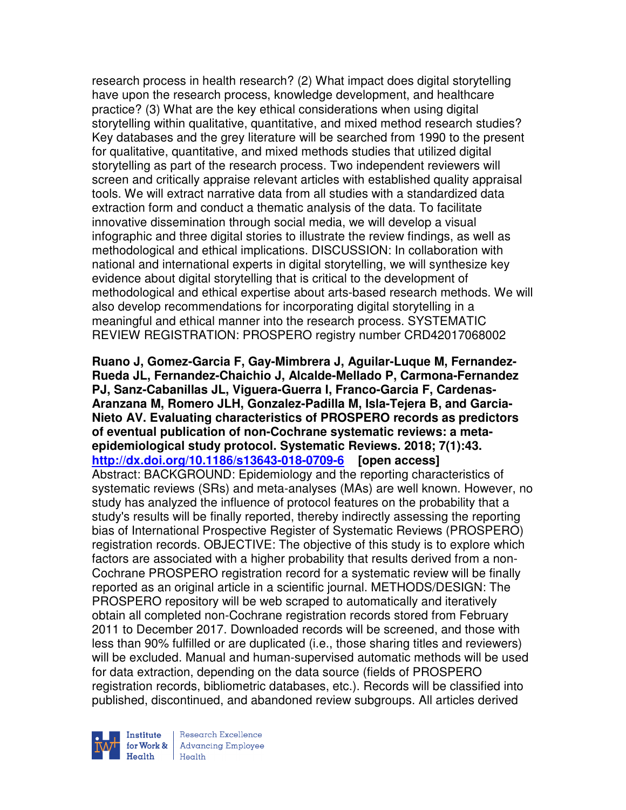research process in health research? (2) What impact does digital storytelling have upon the research process, knowledge development, and healthcare practice? (3) What are the key ethical considerations when using digital storytelling within qualitative, quantitative, and mixed method research studies? Key databases and the grey literature will be searched from 1990 to the present for qualitative, quantitative, and mixed methods studies that utilized digital storytelling as part of the research process. Two independent reviewers will screen and critically appraise relevant articles with established quality appraisal tools. We will extract narrative data from all studies with a standardized data extraction form and conduct a thematic analysis of the data. To facilitate innovative dissemination through social media, we will develop a visual infographic and three digital stories to illustrate the review findings, as well as methodological and ethical implications. DISCUSSION: In collaboration with national and international experts in digital storytelling, we will synthesize key evidence about digital storytelling that is critical to the development of methodological and ethical expertise about arts-based research methods. We will also develop recommendations for incorporating digital storytelling in a meaningful and ethical manner into the research process. SYSTEMATIC REVIEW REGISTRATION: PROSPERO registry number CRD42017068002

**Ruano J, Gomez-Garcia F, Gay-Mimbrera J, Aguilar-Luque M, Fernandez-Rueda JL, Fernandez-Chaichio J, Alcalde-Mellado P, Carmona-Fernandez PJ, Sanz-Cabanillas JL, Viguera-Guerra I, Franco-Garcia F, Cardenas-Aranzana M, Romero JLH, Gonzalez-Padilla M, Isla-Tejera B, and Garcia-Nieto AV. Evaluating characteristics of PROSPERO records as predictors of eventual publication of non-Cochrane systematic reviews: a metaepidemiological study protocol. Systematic Reviews. 2018; 7(1):43. http://dx.doi.org/10.1186/s13643-018-0709-6 [open access]** Abstract: BACKGROUND: Epidemiology and the reporting characteristics of systematic reviews (SRs) and meta-analyses (MAs) are well known. However, no study has analyzed the influence of protocol features on the probability that a study's results will be finally reported, thereby indirectly assessing the reporting bias of International Prospective Register of Systematic Reviews (PROSPERO) registration records. OBJECTIVE: The objective of this study is to explore which factors are associated with a higher probability that results derived from a non-Cochrane PROSPERO registration record for a systematic review will be finally reported as an original article in a scientific journal. METHODS/DESIGN: The PROSPERO repository will be web scraped to automatically and iteratively obtain all completed non-Cochrane registration records stored from February 2011 to December 2017. Downloaded records will be screened, and those with less than 90% fulfilled or are duplicated (i.e., those sharing titles and reviewers) will be excluded. Manual and human-supervised automatic methods will be used for data extraction, depending on the data source (fields of PROSPERO registration records, bibliometric databases, etc.). Records will be classified into published, discontinued, and abandoned review subgroups. All articles derived

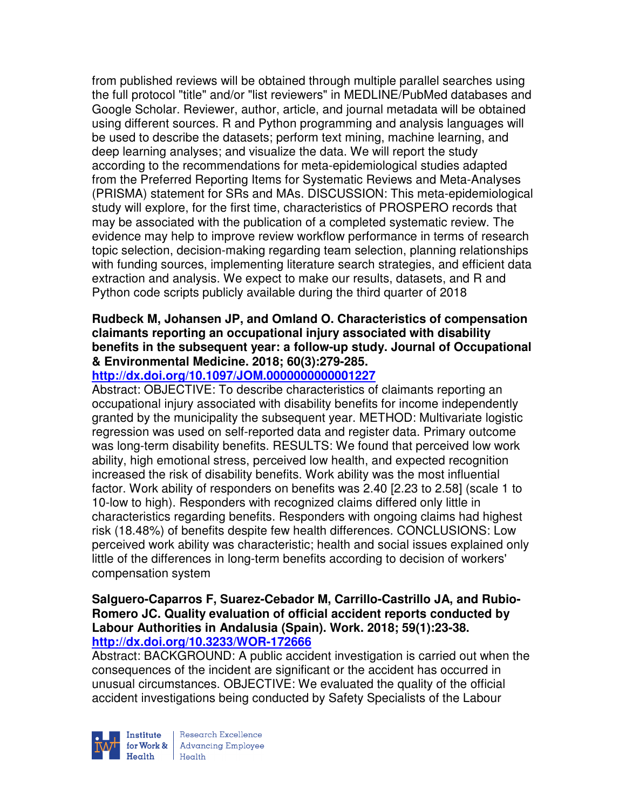from published reviews will be obtained through multiple parallel searches using the full protocol "title" and/or "list reviewers" in MEDLINE/PubMed databases and Google Scholar. Reviewer, author, article, and journal metadata will be obtained using different sources. R and Python programming and analysis languages will be used to describe the datasets; perform text mining, machine learning, and deep learning analyses; and visualize the data. We will report the study according to the recommendations for meta-epidemiological studies adapted from the Preferred Reporting Items for Systematic Reviews and Meta-Analyses (PRISMA) statement for SRs and MAs. DISCUSSION: This meta-epidemiological study will explore, for the first time, characteristics of PROSPERO records that may be associated with the publication of a completed systematic review. The evidence may help to improve review workflow performance in terms of research topic selection, decision-making regarding team selection, planning relationships with funding sources, implementing literature search strategies, and efficient data extraction and analysis. We expect to make our results, datasets, and R and Python code scripts publicly available during the third quarter of 2018

## **Rudbeck M, Johansen JP, and Omland O. Characteristics of compensation claimants reporting an occupational injury associated with disability benefits in the subsequent year: a follow-up study. Journal of Occupational & Environmental Medicine. 2018; 60(3):279-285.**

# **http://dx.doi.org/10.1097/JOM.0000000000001227**

Abstract: OBJECTIVE: To describe characteristics of claimants reporting an occupational injury associated with disability benefits for income independently granted by the municipality the subsequent year. METHOD: Multivariate logistic regression was used on self-reported data and register data. Primary outcome was long-term disability benefits. RESULTS: We found that perceived low work ability, high emotional stress, perceived low health, and expected recognition increased the risk of disability benefits. Work ability was the most influential factor. Work ability of responders on benefits was 2.40 [2.23 to 2.58] (scale 1 to 10-low to high). Responders with recognized claims differed only little in characteristics regarding benefits. Responders with ongoing claims had highest risk (18.48%) of benefits despite few health differences. CONCLUSIONS: Low perceived work ability was characteristic; health and social issues explained only little of the differences in long-term benefits according to decision of workers' compensation system

### **Salguero-Caparros F, Suarez-Cebador M, Carrillo-Castrillo JA, and Rubio-Romero JC. Quality evaluation of official accident reports conducted by Labour Authorities in Andalusia (Spain). Work. 2018; 59(1):23-38. http://dx.doi.org/10.3233/WOR-172666**

Abstract: BACKGROUND: A public accident investigation is carried out when the consequences of the incident are significant or the accident has occurred in unusual circumstances. OBJECTIVE: We evaluated the quality of the official accident investigations being conducted by Safety Specialists of the Labour



Research Excellence for Work & | Advancing Employee Health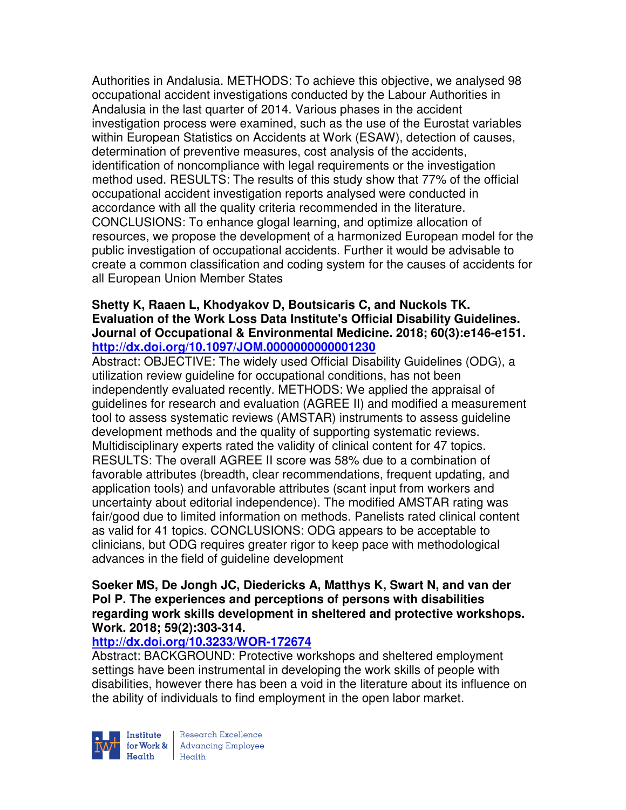Authorities in Andalusia. METHODS: To achieve this objective, we analysed 98 occupational accident investigations conducted by the Labour Authorities in Andalusia in the last quarter of 2014. Various phases in the accident investigation process were examined, such as the use of the Eurostat variables within European Statistics on Accidents at Work (ESAW), detection of causes, determination of preventive measures, cost analysis of the accidents, identification of noncompliance with legal requirements or the investigation method used. RESULTS: The results of this study show that 77% of the official occupational accident investigation reports analysed were conducted in accordance with all the quality criteria recommended in the literature. CONCLUSIONS: To enhance glogal learning, and optimize allocation of resources, we propose the development of a harmonized European model for the public investigation of occupational accidents. Further it would be advisable to create a common classification and coding system for the causes of accidents for all European Union Member States

### **Shetty K, Raaen L, Khodyakov D, Boutsicaris C, and Nuckols TK. Evaluation of the Work Loss Data Institute's Official Disability Guidelines. Journal of Occupational & Environmental Medicine. 2018; 60(3):e146-e151. http://dx.doi.org/10.1097/JOM.0000000000001230**

Abstract: OBJECTIVE: The widely used Official Disability Guidelines (ODG), a utilization review guideline for occupational conditions, has not been independently evaluated recently. METHODS: We applied the appraisal of guidelines for research and evaluation (AGREE II) and modified a measurement tool to assess systematic reviews (AMSTAR) instruments to assess guideline development methods and the quality of supporting systematic reviews. Multidisciplinary experts rated the validity of clinical content for 47 topics. RESULTS: The overall AGREE II score was 58% due to a combination of favorable attributes (breadth, clear recommendations, frequent updating, and application tools) and unfavorable attributes (scant input from workers and uncertainty about editorial independence). The modified AMSTAR rating was fair/good due to limited information on methods. Panelists rated clinical content as valid for 41 topics. CONCLUSIONS: ODG appears to be acceptable to clinicians, but ODG requires greater rigor to keep pace with methodological advances in the field of guideline development

### **Soeker MS, De Jongh JC, Diedericks A, Matthys K, Swart N, and van der Pol P. The experiences and perceptions of persons with disabilities regarding work skills development in sheltered and protective workshops. Work. 2018; 59(2):303-314.**

# **http://dx.doi.org/10.3233/WOR-172674**

Abstract: BACKGROUND: Protective workshops and sheltered employment settings have been instrumental in developing the work skills of people with disabilities, however there has been a void in the literature about its influence on the ability of individuals to find employment in the open labor market.



Research Excellence **Institute** Research Excellence<br> **For Work &**<br>
Marth Harlth Harlth Health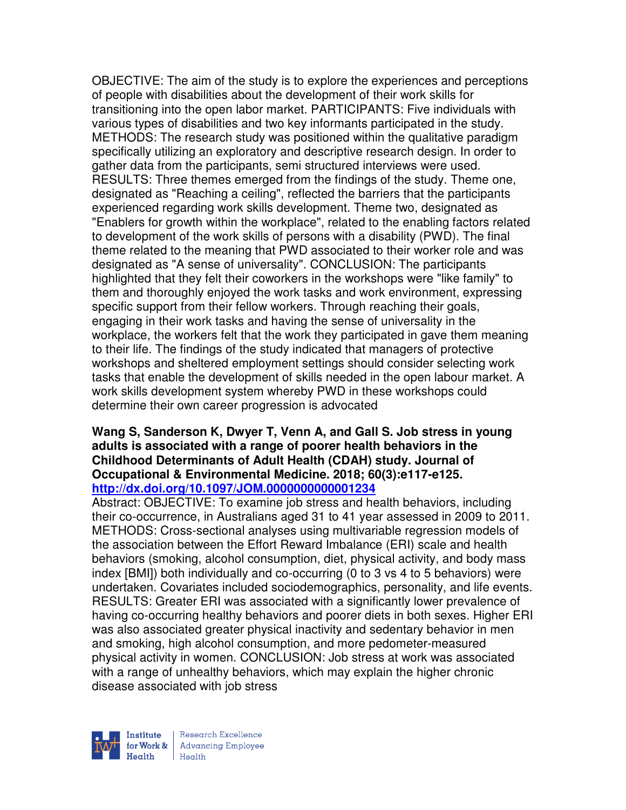OBJECTIVE: The aim of the study is to explore the experiences and perceptions of people with disabilities about the development of their work skills for transitioning into the open labor market. PARTICIPANTS: Five individuals with various types of disabilities and two key informants participated in the study. METHODS: The research study was positioned within the qualitative paradigm specifically utilizing an exploratory and descriptive research design. In order to gather data from the participants, semi structured interviews were used. RESULTS: Three themes emerged from the findings of the study. Theme one, designated as "Reaching a ceiling", reflected the barriers that the participants experienced regarding work skills development. Theme two, designated as "Enablers for growth within the workplace", related to the enabling factors related to development of the work skills of persons with a disability (PWD). The final theme related to the meaning that PWD associated to their worker role and was designated as "A sense of universality". CONCLUSION: The participants highlighted that they felt their coworkers in the workshops were "like family" to them and thoroughly enjoyed the work tasks and work environment, expressing specific support from their fellow workers. Through reaching their goals, engaging in their work tasks and having the sense of universality in the workplace, the workers felt that the work they participated in gave them meaning to their life. The findings of the study indicated that managers of protective workshops and sheltered employment settings should consider selecting work tasks that enable the development of skills needed in the open labour market. A work skills development system whereby PWD in these workshops could determine their own career progression is advocated

#### **Wang S, Sanderson K, Dwyer T, Venn A, and Gall S. Job stress in young adults is associated with a range of poorer health behaviors in the Childhood Determinants of Adult Health (CDAH) study. Journal of Occupational & Environmental Medicine. 2018; 60(3):e117-e125. http://dx.doi.org/10.1097/JOM.0000000000001234**

Abstract: OBJECTIVE: To examine job stress and health behaviors, including their co-occurrence, in Australians aged 31 to 41 year assessed in 2009 to 2011. METHODS: Cross-sectional analyses using multivariable regression models of the association between the Effort Reward Imbalance (ERI) scale and health behaviors (smoking, alcohol consumption, diet, physical activity, and body mass index [BMI]) both individually and co-occurring (0 to 3 vs 4 to 5 behaviors) were undertaken. Covariates included sociodemographics, personality, and life events. RESULTS: Greater ERI was associated with a significantly lower prevalence of having co-occurring healthy behaviors and poorer diets in both sexes. Higher ERI was also associated greater physical inactivity and sedentary behavior in men and smoking, high alcohol consumption, and more pedometer-measured physical activity in women. CONCLUSION: Job stress at work was associated with a range of unhealthy behaviors, which may explain the higher chronic disease associated with job stress